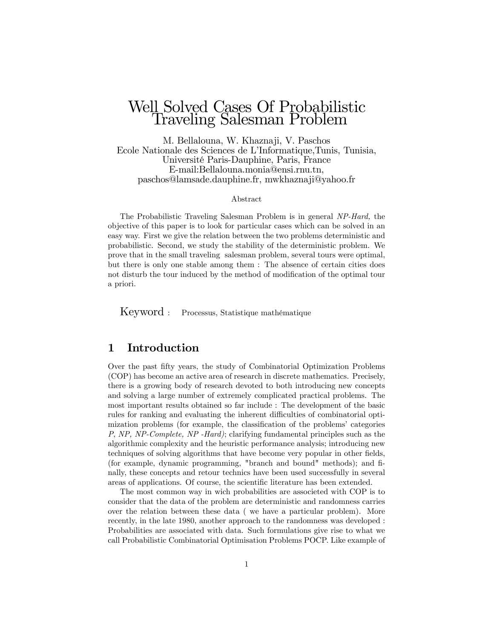# Well Solved Cases Of Probabilistic Traveling Salesman Problem

M. Bellalouna, W. Khaznaji, V. Paschos Ecole Nationale des Sciences de LíInformatique,Tunis, Tunisia, UniversitÈ Paris-Dauphine, Paris, France E-mail:Bellalouna.monia@ensi.rnu.tn, paschos@lamsade.dauphine.fr, mwkhaznaji@yahoo.fr

#### Abstract

The Probabilistic Traveling Salesman Problem is in general NP-Hard, the objective of this paper is to look for particular cases which can be solved in an easy way. First we give the relation between the two problems deterministic and probabilistic. Second, we study the stability of the deterministic problem. We prove that in the small traveling salesman problem, several tours were optimal, but there is only one stable among them : The absence of certain cities does not disturb the tour induced by the method of modification of the optimal tour a priori.

Keyword : Processus, Statistique mathématique

#### 1 Introduction

Over the past Öfty years, the study of Combinatorial Optimization Problems (COP) has become an active area of research in discrete mathematics. Precisely, there is a growing body of research devoted to both introducing new concepts and solving a large number of extremely complicated practical problems. The most important results obtained so far include : The development of the basic rules for ranking and evaluating the inherent difficulties of combinatorial optimization problems (for example, the classification of the problems' categories P, NP, NP-Complete, NP -Hard); clarifying fundamental principles such as the algorithmic complexity and the heuristic performance analysis; introducing new techniques of solving algorithms that have become very popular in other fields, (for example, dynamic programming, "branch and bound" methods); and Önally, these concepts and retour technics have been used successfully in several areas of applications. Of course, the scientific literature has been extended.

The most common way in wich probabilities are associeted with COP is to consider that the data of the problem are deterministic and randomness carries over the relation between these data ( we have a particular problem). More recently, in the late 1980, another approach to the randomness was developed : Probabilities are associated with data. Such formulations give rise to what we call Probabilistic Combinatorial Optimisation Problems POCP. Like example of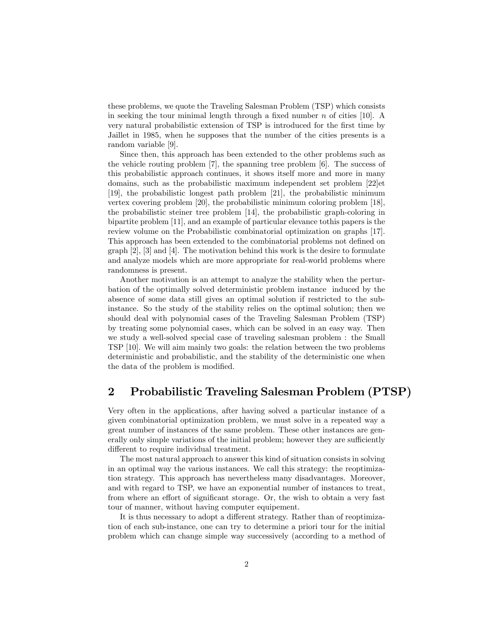these problems, we quote the Traveling Salesman Problem (TSP) which consists in seeking the tour minimal length through a fixed number  $n$  of cities [10]. A very natural probabilistic extension of TSP is introduced for the first time by Jaillet in 1985, when he supposes that the number of the cities presents is a random variable [9].

Since then, this approach has been extended to the other problems such as the vehicle routing problem [7], the spanning tree problem [6]. The success of this probabilistic approach continues, it shows itself more and more in many domains, such as the probabilistic maximum independent set problem [22]et [19], the probabilistic longest path problem [21], the probabilistic minimum vertex covering problem [20], the probabilistic minimum coloring problem [18], the probabilistic steiner tree problem [14], the probabilistic graph-coloring in bipartite problem [11], and an example of particular elevance tothis papers is the review volume on the Probabilistic combinatorial optimization on graphs [17]. This approach has been extended to the combinatorial problems not defined on  $\lbrack 2r \rbrack$ ,  $\lbrack 3r \rbrack$  and  $\lbrack 4r \rbrack$ . The motivation behind this work is the desire to formulate and analyze models which are more appropriate for real-world problems where randomness is present.

Another motivation is an attempt to analyze the stability when the perturbation of the optimally solved deterministic problem instance induced by the absence of some data still gives an optimal solution if restricted to the subinstance. So the study of the stability relies on the optimal solution; then we should deal with polynomial cases of the Traveling Salesman Problem (TSP) by treating some polynomial cases, which can be solved in an easy way. Then we study a well-solved special case of traveling salesman problem : the Small TSP [10]. We will aim mainly two goals: the relation between the two problems deterministic and probabilistic, and the stability of the deterministic one when the data of the problem is modified.

### 2 Probabilistic Traveling Salesman Problem (PTSP)

Very often in the applications, after having solved a particular instance of a given combinatorial optimization problem, we must solve in a repeated way a great number of instances of the same problem. These other instances are generally only simple variations of the initial problem; however they are sufficiently different to require individual treatment.

The most natural approach to answer this kind of situation consists in solving in an optimal way the various instances. We call this strategy: the reoptimization strategy. This approach has nevertheless many disadvantages. Moreover, and with regard to TSP, we have an exponential number of instances to treat, from where an effort of significant storage. Or, the wish to obtain a very fast tour of manner, without having computer equipement.

It is thus necessary to adopt a different strategy. Rather than of reoptimization of each sub-instance, one can try to determine a priori tour for the initial problem which can change simple way successively (according to a method of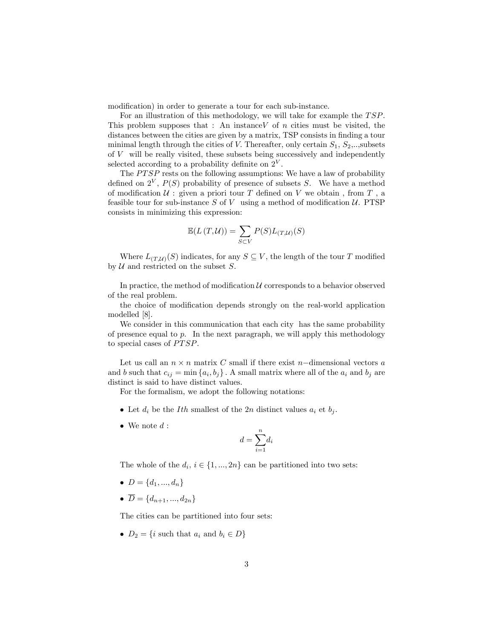modification) in order to generate a tour for each sub-instance.

For an illustration of this methodology, we will take for example the  $TSP$ . This problem supposes that : An instance  $V$  of n cities must be visited, the distances between the cities are given by a matrix, TSP consists in finding a tour minimal length through the cities of V. Thereafter, only certain  $S_1, S_2, \ldots$ , subsets of  $V$  will be really visited, these subsets being successively and independently selected according to a probability definite on  $2^V$ .

The  $PTSP$  rests on the following assumptions: We have a law of probability defined on  $2^V$ ,  $P(S)$  probability of presence of subsets S. We have a method of modification  $\mathcal U$ : given a priori tour  $T$  defined on  $V$  we obtain, from  $T$ , a feasible tour for sub-instance S of V using a method of modification  $U$ . PTSP consists in minimizing this expression:

$$
\mathbb{E}(L(T,\mathcal{U})) = \sum_{S \subset V} P(S)L_{(T,\mathcal{U})}(S)
$$

Where  $L_{(T,\mathcal{U})}(S)$  indicates, for any  $S \subseteq V$ , the length of the tour T modified by  $U$  and restricted on the subset  $S$ .

In practice, the method of modification  $\mathcal U$  corresponds to a behavior observed of the real problem.

the choice of modification depends strongly on the real-world application modelled [8].

We consider in this communication that each city has the same probability of presence equal to  $p$ . In the next paragraph, we will apply this methodology to special cases of *PTSP*.

Let us call an  $n \times n$  matrix C small if there exist n-dimensional vectors a and b such that  $c_{ij} = \min\{a_i, b_j\}$ . A small matrix where all of the  $a_i$  and  $b_j$  are distinct is said to have distinct values.

For the formalism, we adopt the following notations:

- Let  $d_i$  be the *Ith* smallest of the 2n distinct values  $a_i$  et  $b_j$ .
- $\bullet\,$  We note  $d$  :

$$
d = \sum_{i=1}^{n} d_i
$$

The whole of the  $d_i$ ,  $i \in \{1, ..., 2n\}$  can be partitioned into two sets:

- $D = \{d_1, ..., d_n\}$
- $\overline{D} = \{d_{n+1}, ..., d_{2n}\}\$

The cities can be partitioned into four sets:

•  $D_2 = \{i \text{ such that } a_i \text{ and } b_i \in D\}$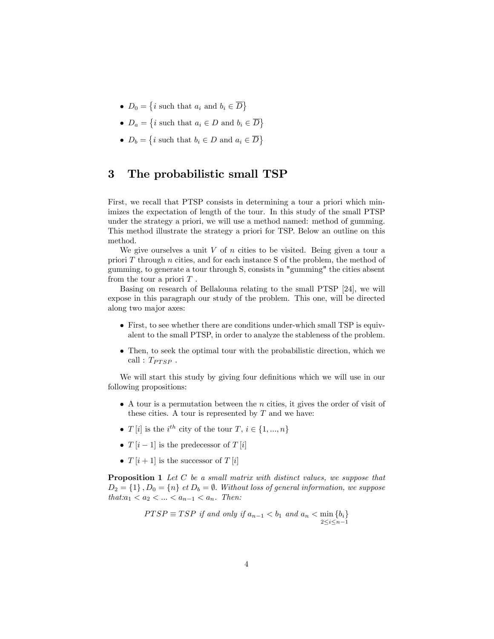- $D_0 = \{i \text{ such that } a_i \text{ and } b_i \in \overline{D}\}\$
- $D_a = \{i \text{ such that } a_i \in D \text{ and } b_i \in \overline{D}\}\$
- $D_b = \{i \text{ such that } b_i \in D \text{ and } a_i \in \overline{D}\}\$

#### 3 The probabilistic small TSP

First, we recall that PTSP consists in determining a tour a priori which minimizes the expectation of length of the tour. In this study of the small PTSP under the strategy a priori, we will use a method named: method of gumming. This method illustrate the strategy a priori for TSP. Below an outline on this method.

We give ourselves a unit  $V$  of  $n$  cities to be visited. Being given a tour a priori  $T$  through  $n$  cities, and for each instance  $S$  of the problem, the method of gumming, to generate a tour through S, consists in "gumming" the cities absent from the tour a priori  $T$ .

Basing on research of Bellalouna relating to the small PTSP [24], we will expose in this paragraph our study of the problem. This one, will be directed along two major axes:

- First, to see whether there are conditions under-which small TSP is equivalent to the small PTSP, in order to analyze the stableness of the problem.
- Then, to seek the optimal tour with the probabilistic direction, which we call :  $T_{PTSP}$ .

We will start this study by giving four definitions which we will use in our following propositions:

- $\bullet$  A tour is a permutation between the *n* cities, it gives the order of visit of these cities. A tour is represented by  $T$  and we have:
- $T[i]$  is the  $i^{th}$  city of the tour  $T, i \in \{1, ..., n\}$
- $T[i-1]$  is the predecessor of  $T[i]$
- $T[i+1]$  is the successor of  $T[i]$

Proposition 1 Let C be a small matrix with distinct values, we suppose that  $D_2 = \{1\}$ ,  $D_0 = \{n\}$  et  $D_b = \emptyset$ . Without loss of general information, we suppose  $that: a_1 < a_2 < ... < a_{n-1} < a_n$ . Then:

$$
PTSP \equiv TSP \text{ if and only if } a_{n-1} < b_1 \text{ and } a_n < \min_{2 \le i \le n-1} \{b_i\}
$$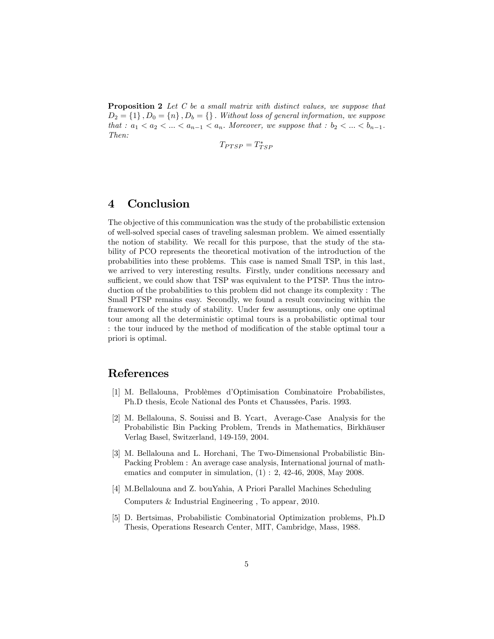**Proposition 2** Let C be a small matrix with distinct values, we suppose that  $D_2 = \{1\}$ ,  $D_0 = \{n\}$ ,  $D_b = \{\}$ . Without loss of general information, we suppose that :  $a_1 < a_2 < ... < a_{n-1} < a_n$ . Moreover, we suppose that :  $b_2 < ... < b_{n-1}$ . Then:

$$
T_{PTSP} = T_{TSP}^*
$$

#### 4 Conclusion

The objective of this communication was the study of the probabilistic extension of well-solved special cases of traveling salesman problem. We aimed essentially the notion of stability. We recall for this purpose, that the study of the stability of PCO represents the theoretical motivation of the introduction of the probabilities into these problems. This case is named Small TSP, in this last, we arrived to very interesting results. Firstly, under conditions necessary and sufficient, we could show that TSP was equivalent to the PTSP. Thus the introduction of the probabilities to this problem did not change its complexity : The Small PTSP remains easy. Secondly, we found a result convincing within the framework of the study of stability. Under few assumptions, only one optimal tour among all the deterministic optimal tours is a probabilistic optimal tour : the tour induced by the method of modification of the stable optimal tour a priori is optimal.

#### References

- [1] M. Bellalouna, Problèmes d'Optimisation Combinatoire Probabilistes, Ph.D thesis, Ecole National des Ponts et Chaussées, Paris. 1993.
- [2] M. Bellalouna, S. Souissi and B. Ycart, Average-Case Analysis for the Probabilistic Bin Packing Problem, Trends in Mathematics, Birkhäuser Verlag Basel, Switzerland, 149-159, 2004.
- [3] M. Bellalouna and L. Horchani, The Two-Dimensional Probabilistic Bin-Packing Problem : An average case analysis, International journal of mathematics and computer in simulation,  $(1)$ : 2, 42-46, 2008, May 2008.
- [4] M.Bellalouna and Z. bouYahia, A Priori Parallel Machines Scheduling Computers & Industrial Engineering , To appear, 2010.
- [5] D. Bertsimas, Probabilistic Combinatorial Optimization problems, Ph.D Thesis, Operations Research Center, MIT, Cambridge, Mass, 1988.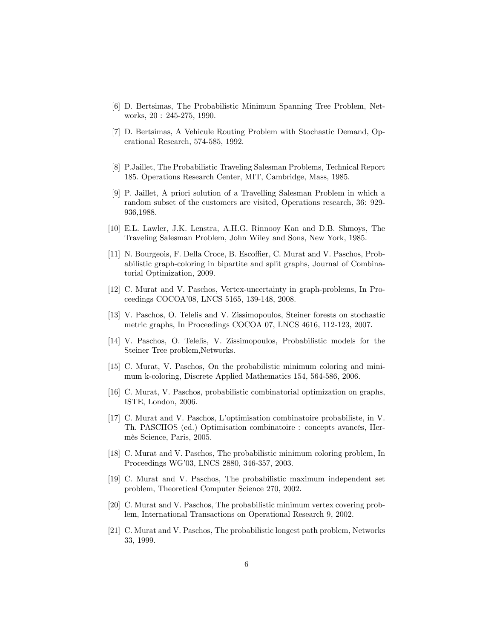- [6] D. Bertsimas, The Probabilistic Minimum Spanning Tree Problem, Networks, 20 : 245-275, 1990.
- [7] D. Bertsimas, A Vehicule Routing Problem with Stochastic Demand, Operational Research, 574-585, 1992.
- [8] P.Jaillet, The Probabilistic Traveling Salesman Problems, Technical Report 185. Operations Research Center, MIT, Cambridge, Mass, 1985.
- [9] P. Jaillet, A priori solution of a Travelling Salesman Problem in which a random subset of the customers are visited, Operations research, 36: 929- 936,1988.
- [10] E.L. Lawler, J.K. Lenstra, A.H.G. Rinnooy Kan and D.B. Shmoys, The Traveling Salesman Problem, John Wiley and Sons, New York, 1985.
- [11] N. Bourgeois, F. Della Croce, B. Escoffier, C. Murat and V. Paschos, Probabilistic graph-coloring in bipartite and split graphs, Journal of Combinatorial Optimization, 2009.
- [12] C. Murat and V. Paschos, Vertex-uncertainty in graph-problems, In Proceedings COCOAí08, LNCS 5165, 139-148, 2008.
- [13] V. Paschos, O. Telelis and V. Zissimopoulos, Steiner forests on stochastic metric graphs, In Proceedings COCOA 07, LNCS 4616, 112-123, 2007.
- [14] V. Paschos, O. Telelis, V. Zissimopoulos, Probabilistic models for the Steiner Tree problem,Networks.
- [15] C. Murat, V. Paschos, On the probabilistic minimum coloring and minimum k-coloring, Discrete Applied Mathematics 154, 564-586, 2006.
- [16] C. Murat, V. Paschos, probabilistic combinatorial optimization on graphs, ISTE, London, 2006.
- [17] C. Murat and V. Paschos, Líoptimisation combinatoire probabiliste, in V. Th. PASCHOS (ed.) Optimisation combinatoire : concepts avancés, HermËs Science, Paris, 2005.
- [18] C. Murat and V. Paschos, The probabilistic minimum coloring problem, In Proceedings WG'03, LNCS 2880, 346-357, 2003.
- [19] C. Murat and V. Paschos, The probabilistic maximum independent set problem, Theoretical Computer Science 270, 2002.
- [20] C. Murat and V. Paschos, The probabilistic minimum vertex covering problem, International Transactions on Operational Research 9, 2002.
- [21] C. Murat and V. Paschos, The probabilistic longest path problem, Networks 33, 1999.